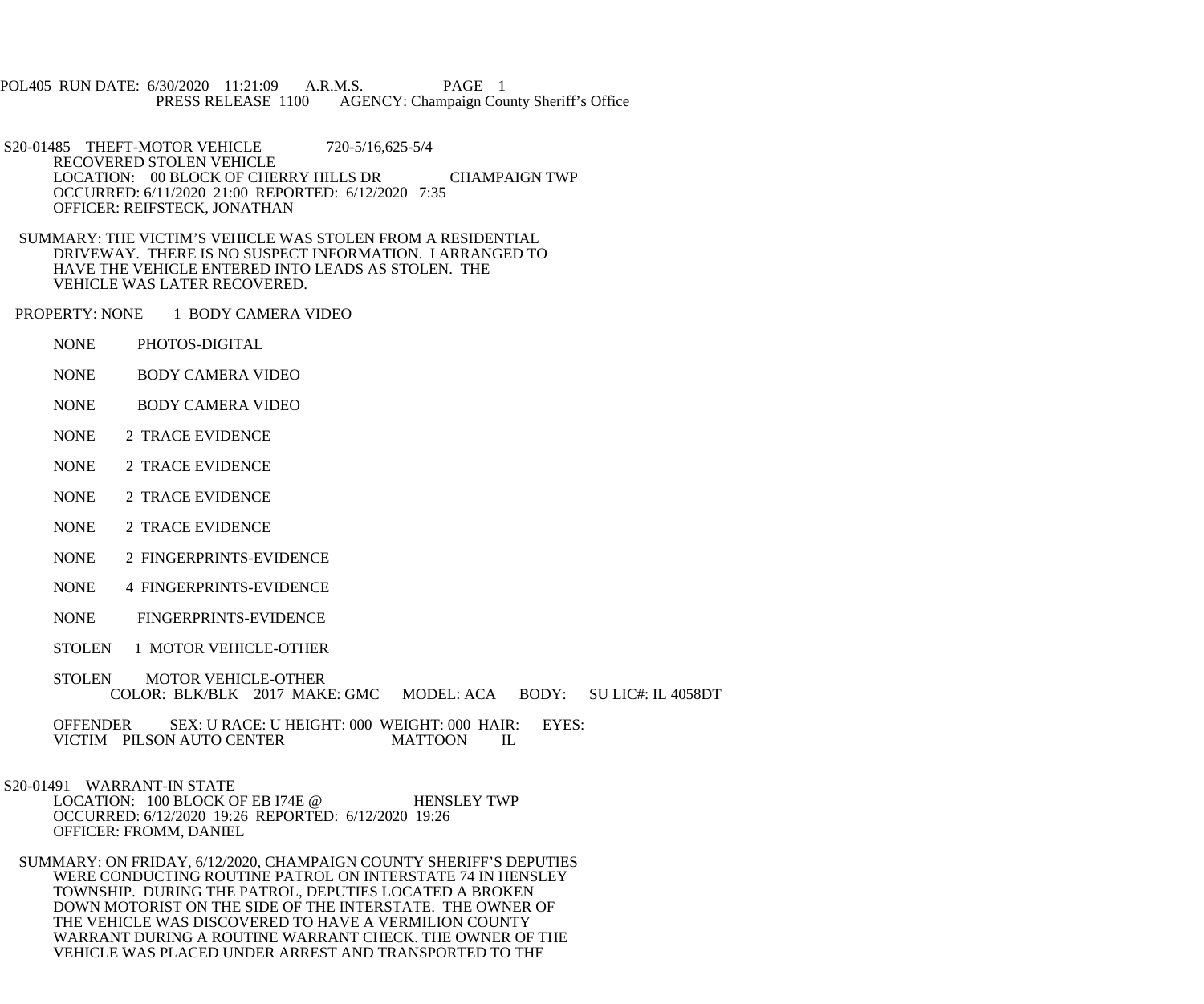POL405 RUN DATE: 6/30/2020 11:21:09 A.R.M.S. PAGE 1<br>PRESS RELEASE 1100 AGENCY: Champaign Cou AGENCY: Champaign County Sheriff's Office

 S20-01485 THEFT-MOTOR VEHICLE 720-5/16,625-5/4 RECOVERED STOLEN VEHICLE LOCATION: 00 BLOCK OF CHERRY HILLS DR CHAMPAIGN TWP OCCURRED: 6/11/2020 21:00 REPORTED: 6/12/2020 7:35 OFFICER: REIFSTECK, JONATHAN

 SUMMARY: THE VICTIM'S VEHICLE WAS STOLEN FROM A RESIDENTIAL DRIVEWAY. THERE IS NO SUSPECT INFORMATION. I ARRANGED TO HAVE THE VEHICLE ENTERED INTO LEADS AS STOLEN. THE VEHICLE WAS LATER RECOVERED.

PROPERTY: NONE 1 BODY CAMERA VIDEO

- NONE PHOTOS-DIGITAL
- NONE BODY CAMERA VIDEO
- NONE BODY CAMERA VIDEO
- NONE 2 TRACE EVIDENCE
- NONE 2 TRACE EVIDENCE
- NONE 2 TRACE EVIDENCE
- NONE 2 TRACE EVIDENCE
- NONE 2 FINGERPRINTS-EVIDENCE
- NONE 4 FINGERPRINTS-EVIDENCE
- NONE FINGERPRINTS-EVIDENCE
- STOLEN 1 MOTOR VEHICLE-OTHER
- STOLEN MOTOR VEHICLE-OTHER COLOR: BLK/BLK 2017 MAKE: GMC MODEL: ACA BODY: SU LIC#: IL 4058DT

OFFENDER SEX: U RACE: U HEIGHT: 000 WEIGHT: 000 HAIR: EYES:<br>VICTIM PILSON AUTO CENTER MATTOON IL VICTIM PILSON AUTO CENTER

S20-01491 WARRANT-IN STATE

LOCATION: 100 BLOCK OF EB 174E @ HENSLEY TWP OCCURRED: 6/12/2020 19:26 REPORTED: 6/12/2020 19:26 OFFICER: FROMM, DANIEL

 SUMMARY: ON FRIDAY, 6/12/2020, CHAMPAIGN COUNTY SHERIFF'S DEPUTIES WERE CONDUCTING ROUTINE PATROL ON INTERSTATE 74 IN HENSLEY TOWNSHIP. DURING THE PATROL, DEPUTIES LOCATED A BROKEN DOWN MOTORIST ON THE SIDE OF THE INTERSTATE. THE OWNER OF THE VEHICLE WAS DISCOVERED TO HAVE A VERMILION COUNTY WARRANT DURING A ROUTINE WARRANT CHECK. THE OWNER OF THE VEHICLE WAS PLACED UNDER ARREST AND TRANSPORTED TO THE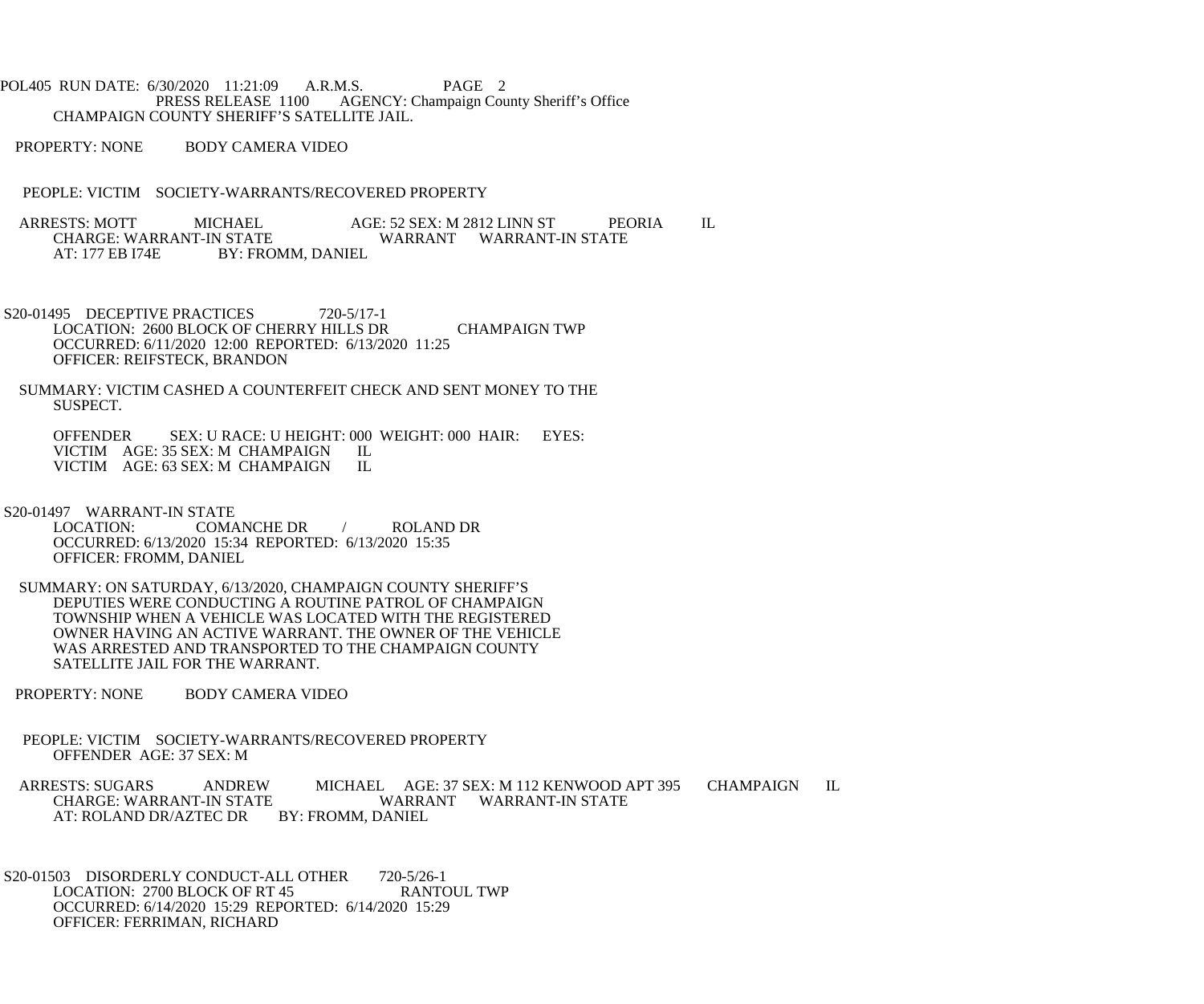POL405 RUN DATE: 6/30/2020 11:21:09 A.R.M.S. PAGE 2<br>PRESS RELEASE 1100 AGENCY: Champaign Cou AGENCY: Champaign County Sheriff's Office CHAMPAIGN COUNTY SHERIFF'S SATELLITE JAIL.

PROPERTY: NONE BODY CAMERA VIDEO

PEOPLE: VICTIM SOCIETY-WARRANTS/RECOVERED PROPERTY

ARRESTS: MOTT MICHAEL AGE: 52 SEX: M 2812 LINN ST PEORIA IL<br>CHARGE: WARRANT-IN STATE WARRANT WARRANT-IN STATE CHARGE: WARRANT-IN STATE WARRANT WARRANT-IN STATE<br>AT: 177 EB 174E BY: FROMM. DANIEL BY: FROMM, DANIEL

- S20-01495 DECEPTIVE PRACTICES 720-5/17-1 LOCATION: 2600 BLOCK OF CHERRY HILLS DR CHAMPAIGN TWP OCCURRED: 6/11/2020 12:00 REPORTED: 6/13/2020 11:25 OFFICER: REIFSTECK, BRANDON
- SUMMARY: VICTIM CASHED A COUNTERFEIT CHECK AND SENT MONEY TO THE SUSPECT.

 OFFENDER SEX: U RACE: U HEIGHT: 000 WEIGHT: 000 HAIR: EYES: VICTIM AGE: 35 SEX: M CHAMPAIGN IL<br>VICTIM AGE: 63 SEX: M CHAMPAIGN IL VICTIM AGE: 63 SEX: M CHAMPAIGN

S20-01497 WARRANT-IN STATE<br>LOCATION: COMA COMANCHE DR / ROLAND DR OCCURRED: 6/13/2020 15:34 REPORTED: 6/13/2020 15:35 OFFICER: FROMM, DANIEL

- SUMMARY: ON SATURDAY, 6/13/2020, CHAMPAIGN COUNTY SHERIFF'S DEPUTIES WERE CONDUCTING A ROUTINE PATROL OF CHAMPAIGN TOWNSHIP WHEN A VEHICLE WAS LOCATED WITH THE REGISTERED OWNER HAVING AN ACTIVE WARRANT. THE OWNER OF THE VEHICLE WAS ARRESTED AND TRANSPORTED TO THE CHAMPAIGN COUNTY SATELLITE JAIL FOR THE WARRANT.
- PROPERTY: NONE BODY CAMERA VIDEO
- PEOPLE: VICTIM SOCIETY-WARRANTS/RECOVERED PROPERTY OFFENDER AGE: 37 SEX: M

ARRESTS: SUGARS ANDREW MICHAEL AGE: 37 SEX: M 112 KENWOOD APT 395 CHAMPAIGN IL CHARGE: WARRANT WARRANT WARRANT-IN STATE WARRANT WARRANT-IN STATE AT: ROLAND DR/AZTEC DR BY: FROMM, DANIEL

S20-01503 DISORDERLY CONDUCT-ALL OTHER 720-5/26-1<br>LOCATION: 2700 BLOCK OF RT 45 RANTOUL TWP LOCATION: 2700 BLOCK OF RT 45 OCCURRED: 6/14/2020 15:29 REPORTED: 6/14/2020 15:29 OFFICER: FERRIMAN, RICHARD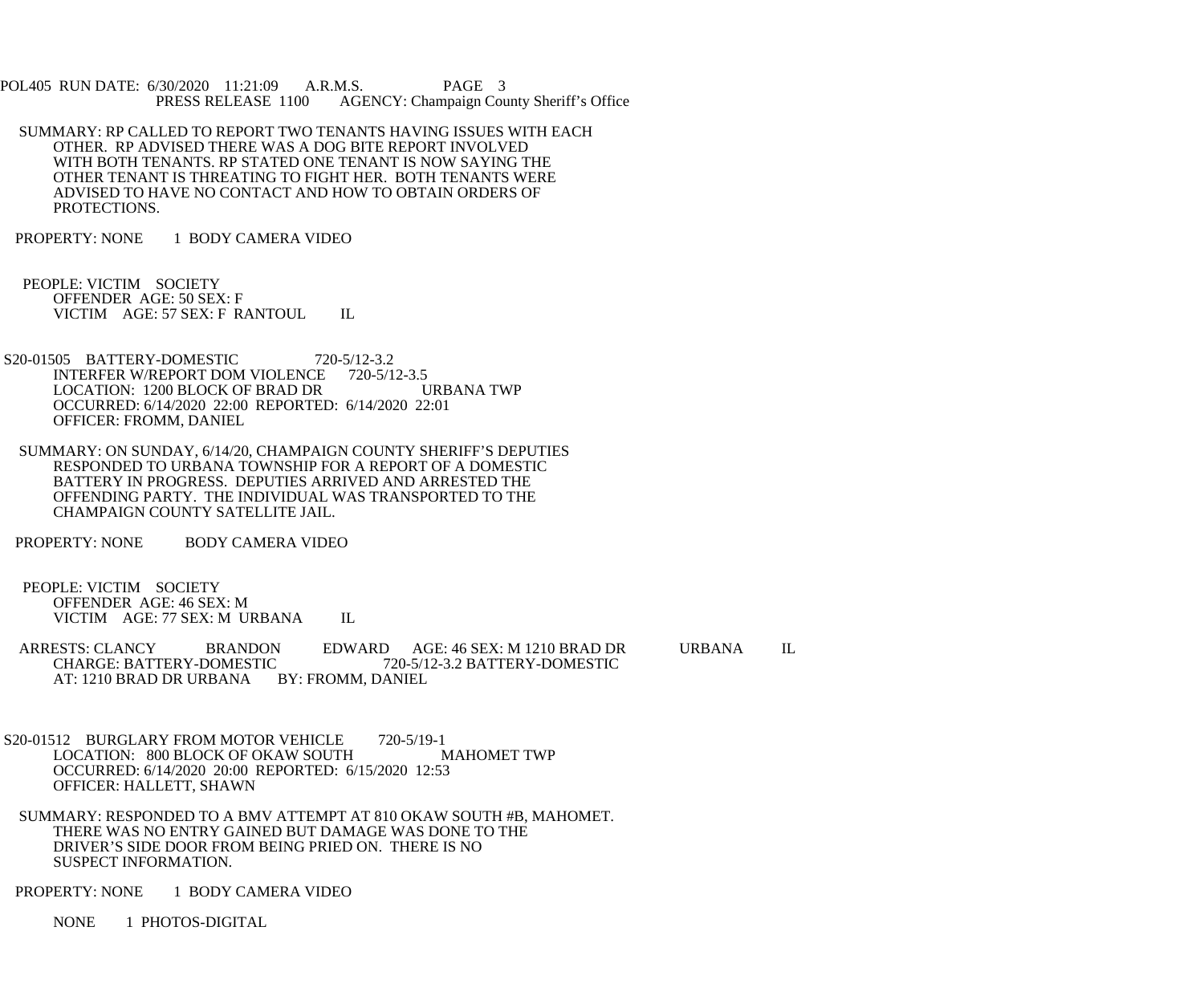POL405 RUN DATE: 6/30/2020 11:21:09 A.R.M.S. PAGE 3<br>PRESS RELEASE 1100 AGENCY: Champaign Cou AGENCY: Champaign County Sheriff's Office

- SUMMARY: RP CALLED TO REPORT TWO TENANTS HAVING ISSUES WITH EACH OTHER. RP ADVISED THERE WAS A DOG BITE REPORT INVOLVED WITH BOTH TENANTS. RP STATED ONE TENANT IS NOW SAYING THE OTHER TENANT IS THREATING TO FIGHT HER. BOTH TENANTS WERE ADVISED TO HAVE NO CONTACT AND HOW TO OBTAIN ORDERS OF PROTECTIONS.
- PROPERTY: NONE 1 BODY CAMERA VIDEO
- PEOPLE: VICTIM SOCIETY OFFENDER AGE: 50 SEX: F VICTIM AGE: 57 SEX: F RANTOUL IL
- S20-01505 BATTERY-DOMESTIC 720-5/12-3.2<br>INTERFER W/REPORT DOM VIOLENCE 720-5/12-3.5 INTERFER W/REPORT DOM VIOLENCE 720-5/12-3.5<br>LOCATION: 1200 BLOCK OF BRAD DR URBANA TWP LOCATION: 1200 BLOCK OF BRAD DR OCCURRED: 6/14/2020 22:00 REPORTED: 6/14/2020 22:01 OFFICER: FROMM, DANIEL
- SUMMARY: ON SUNDAY, 6/14/20, CHAMPAIGN COUNTY SHERIFF'S DEPUTIES RESPONDED TO URBANA TOWNSHIP FOR A REPORT OF A DOMESTIC BATTERY IN PROGRESS. DEPUTIES ARRIVED AND ARRESTED THE OFFENDING PARTY. THE INDIVIDUAL WAS TRANSPORTED TO THE CHAMPAIGN COUNTY SATELLITE JAIL.
- PROPERTY: NONE BODY CAMERA VIDEO

 PEOPLE: VICTIM SOCIETY OFFENDER AGE: 46 SEX: M VICTIM AGE: 77 SEX: M URBANA IL

- ARRESTS: CLANCY BRANDON EDWARD AGE: 46 SEX: M 1210 BRAD DR URBANA IL<br>CHARGE: BATTERY-DOMESTIC 720-5/12-3.2 BATTERY-DOMESTIC C 720-5/12-3.2 BATTERY-DOMESTIC<br>BY: FROMM. DANIEL AT: 1210 BRAD DR URBANA
- S20-01512 BURGLARY FROM MOTOR VEHICLE 720-5/19-1<br>LOCATION: 800 BLOCK OF OKAW SOUTH MAHOMET TWP LOCATION: 800 BLOCK OF OKAW SOUTH OCCURRED: 6/14/2020 20:00 REPORTED: 6/15/2020 12:53 OFFICER: HALLETT, SHAWN
- SUMMARY: RESPONDED TO A BMV ATTEMPT AT 810 OKAW SOUTH #B, MAHOMET. THERE WAS NO ENTRY GAINED BUT DAMAGE WAS DONE TO THE DRIVER'S SIDE DOOR FROM BEING PRIED ON. THERE IS NO SUSPECT INFORMATION.
- PROPERTY: NONE 1 BODY CAMERA VIDEO
	- NONE 1 PHOTOS-DIGITAL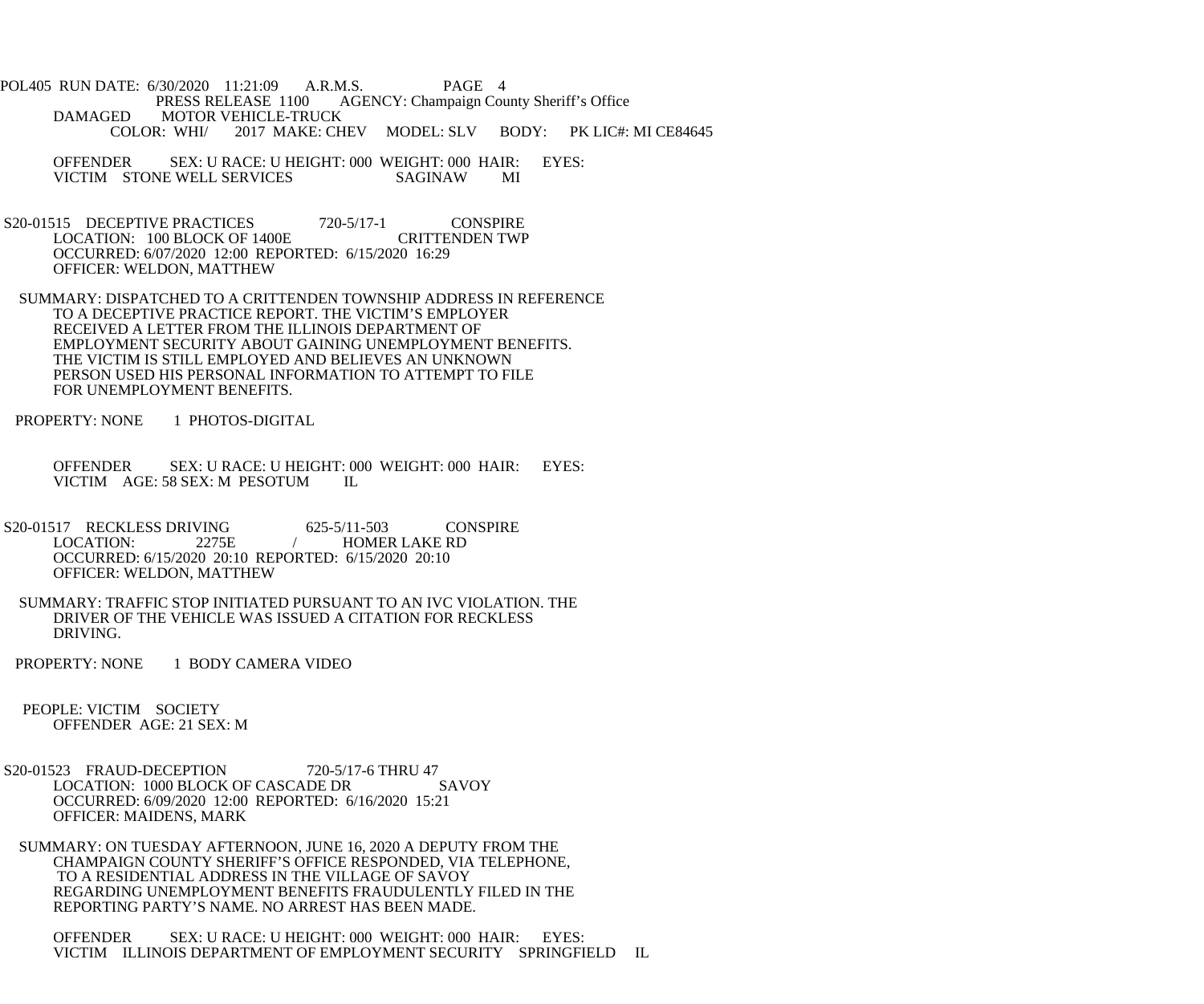POL405 RUN DATE: 6/30/2020 11:21:09 A.R.M.S. PAGE 4 PRESS RELEASE 1100 AGENCY: Champaign County Sheriff's Office DAMAGED MOTOR VEHICLE-TRUCK<br>COLOR: WHI/ 2017 MAKE: CH 2017 MAKE: CHEV MODEL: SLV BODY: PK LIC#: MI CE84645

 OFFENDER SEX: U RACE: U HEIGHT: 000 WEIGHT: 000 HAIR: EYES: VICTIM STONE WELL SERVICES SAGINAW MI

- S20-01515 DECEPTIVE PRACTICES 720-5/17-1 CONSPIRE<br>LOCATION: 100 BLOCK OF 1400E CRITTENDEN TWP LOCATION: 100 BLOCK OF 1400E OCCURRED: 6/07/2020 12:00 REPORTED: 6/15/2020 16:29 OFFICER: WELDON, MATTHEW
- SUMMARY: DISPATCHED TO A CRITTENDEN TOWNSHIP ADDRESS IN REFERENCE TO A DECEPTIVE PRACTICE REPORT. THE VICTIM'S EMPLOYER RECEIVED A LETTER FROM THE ILLINOIS DEPARTMENT OF EMPLOYMENT SECURITY ABOUT GAINING UNEMPLOYMENT BENEFITS. THE VICTIM IS STILL EMPLOYED AND BELIEVES AN UNKNOWN PERSON USED HIS PERSONAL INFORMATION TO ATTEMPT TO FILE FOR UNEMPLOYMENT BENEFITS.
- PROPERTY: NONE 1 PHOTOS-DIGITAL
	- OFFENDER SEX: U RACE: U HEIGHT: 000 WEIGHT: 000 HAIR: EYES: VICTIM AGE: 58 SEX: M PESOTUM IL
- S20-01517 RECKLESS DRIVING<br>LOCATION: 2275E / HOMER LAKE RD / HOMER LAKE RD OCCURRED: 6/15/2020 20:10 REPORTED: 6/15/2020 20:10 OFFICER: WELDON, MATTHEW
- SUMMARY: TRAFFIC STOP INITIATED PURSUANT TO AN IVC VIOLATION. THE DRIVER OF THE VEHICLE WAS ISSUED A CITATION FOR RECKLESS DRIVING.
- PROPERTY: NONE 1 BODY CAMERA VIDEO

 PEOPLE: VICTIM SOCIETY OFFENDER AGE: 21 SEX: M

- S20-01523 FRAUD-DECEPTION 720-5/17-6 THRU 47 LOCATION: 1000 BLOCK OF CASCADE DR SAVOY OCCURRED: 6/09/2020 12:00 REPORTED: 6/16/2020 15:21 OFFICER: MAIDENS, MARK
- SUMMARY: ON TUESDAY AFTERNOON, JUNE 16, 2020 A DEPUTY FROM THE CHAMPAIGN COUNTY SHERIFF'S OFFICE RESPONDED, VIA TELEPHONE, TO A RESIDENTIAL ADDRESS IN THE VILLAGE OF SAVOY REGARDING UNEMPLOYMENT BENEFITS FRAUDULENTLY FILED IN THE REPORTING PARTY'S NAME. NO ARREST HAS BEEN MADE.

 OFFENDER SEX: U RACE: U HEIGHT: 000 WEIGHT: 000 HAIR: EYES: VICTIM ILLINOIS DEPARTMENT OF EMPLOYMENT SECURITY SPRINGFIELD IL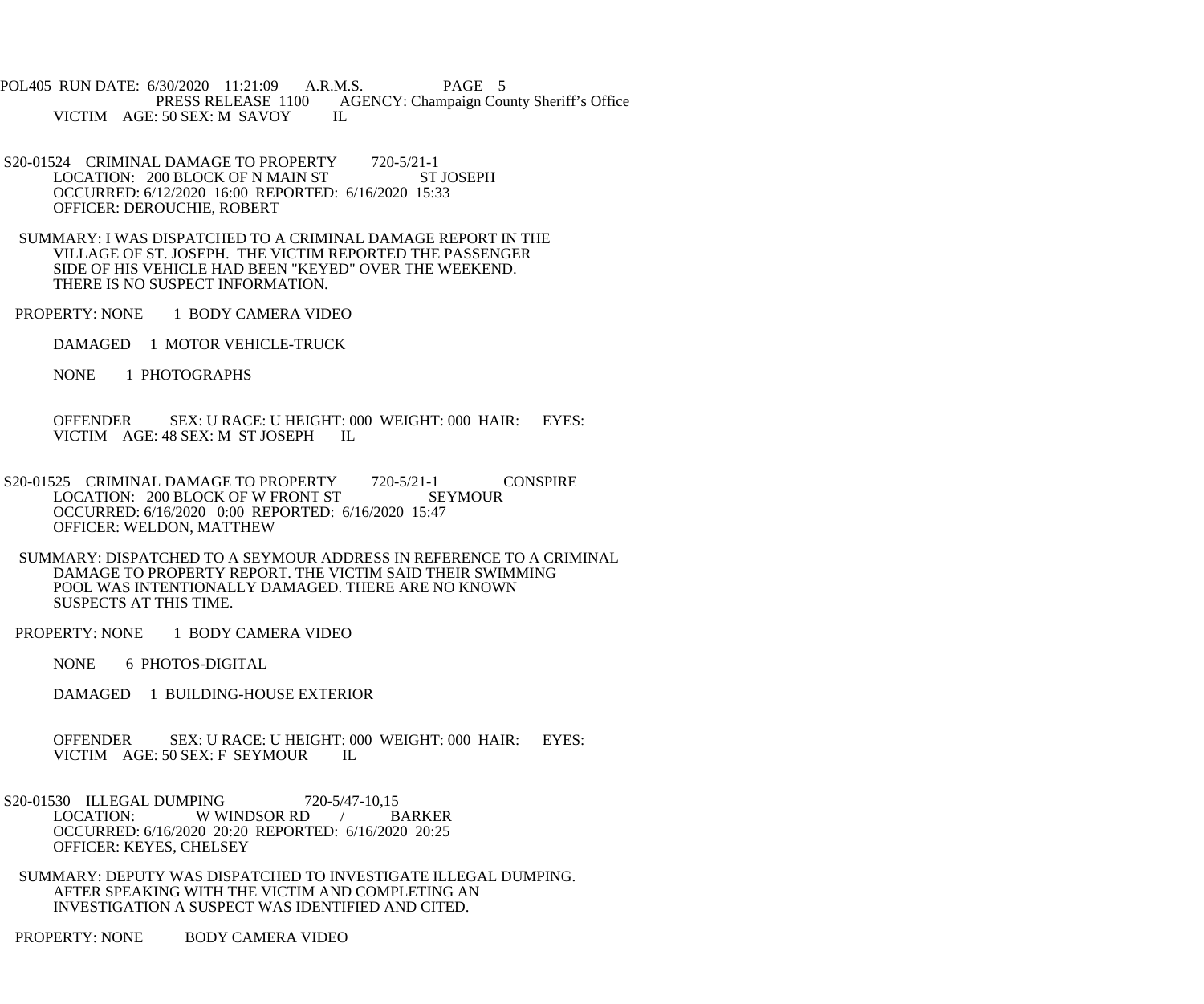POL405 RUN DATE: 6/30/2020 11:21:09 A.R.M.S. PAGE 5<br>PRESS RELEASE 1100 AGENCY: Champaign Cou AGENCY: Champaign County Sheriff's Office IL VICTIM AGE: 50 SEX: M SAVOY

- S20-01524 CRIMINAL DAMAGE TO PROPERTY 720-5/21-1<br>LOCATION: 200 BLOCK OF N MAIN ST ST JOSEPH LOCATION: 200 BLOCK OF N MAIN ST OCCURRED: 6/12/2020 16:00 REPORTED: 6/16/2020 15:33 OFFICER: DEROUCHIE, ROBERT
- SUMMARY: I WAS DISPATCHED TO A CRIMINAL DAMAGE REPORT IN THE VILLAGE OF ST. JOSEPH. THE VICTIM REPORTED THE PASSENGER SIDE OF HIS VEHICLE HAD BEEN "KEYED" OVER THE WEEKEND. THERE IS NO SUSPECT INFORMATION.
- PROPERTY: NONE 1 BODY CAMERA VIDEO
	- DAMAGED 1 MOTOR VEHICLE-TRUCK
	- NONE 1 PHOTOGRAPHS
	- OFFENDER SEX: U RACE: U HEIGHT: 000 WEIGHT: 000 HAIR: EYES: VICTIM AGE: 48 SEX: M ST JOSEPH IL
- S20-01525 CRIMINAL DAMAGE TO PROPERTY 720-5/21-1 CONSPIRE<br>LOCATION: 200 BLOCK OF W FRONT ST SEYMOUR LOCATION: 200 BLOCK OF W FRONT ST OCCURRED: 6/16/2020 0:00 REPORTED: 6/16/2020 15:47 OFFICER: WELDON, MATTHEW
	- SUMMARY: DISPATCHED TO A SEYMOUR ADDRESS IN REFERENCE TO A CRIMINAL DAMAGE TO PROPERTY REPORT. THE VICTIM SAID THEIR SWIMMING POOL WAS INTENTIONALLY DAMAGED. THERE ARE NO KNOWN SUSPECTS AT THIS TIME.
- PROPERTY: NONE 1 BODY CAMERA VIDEO
	- NONE 6 PHOTOS-DIGITAL
	- DAMAGED 1 BUILDING-HOUSE EXTERIOR
	- OFFENDER SEX: U RACE: U HEIGHT: 000 WEIGHT: 000 HAIR: EYES:<br>VICTIM AGE: 50 SEX: F SEYMOUR IL VICTIM AGE: 50 SEX: F SEYMOUR
- S20-01530 ILLEGAL DUMPING 720-5/47-10,15<br>LOCATION: WWINDSOR RD / BARKER W WINDSOR RD  $\frac{1}{2}$  OCCURRED: 6/16/2020 20:20 REPORTED: 6/16/2020 20:25 OFFICER: KEYES, CHELSEY
- SUMMARY: DEPUTY WAS DISPATCHED TO INVESTIGATE ILLEGAL DUMPING. AFTER SPEAKING WITH THE VICTIM AND COMPLETING AN INVESTIGATION A SUSPECT WAS IDENTIFIED AND CITED.
- PROPERTY: NONE BODY CAMERA VIDEO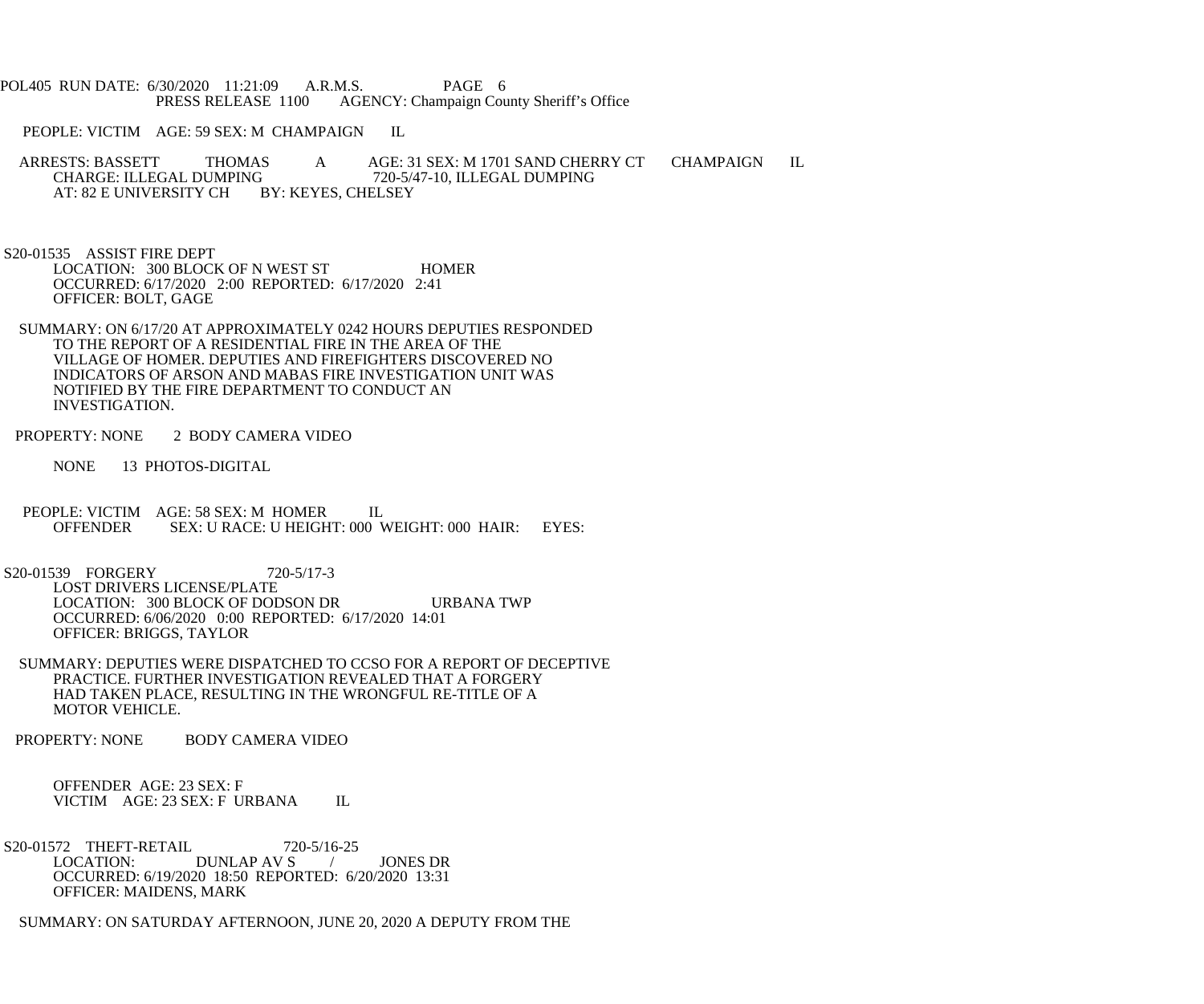POL405 RUN DATE: 6/30/2020 11:21:09 A.R.M.S. PAGE 6<br>PRESS RELEASE 1100 AGENCY: Champaign Cou AGENCY: Champaign County Sheriff's Office

PEOPLE: VICTIM AGE: 59 SEX: M CHAMPAIGN IL

ARRESTS: BASSETT THOMAS A AGE: 31 SEX: M 1701 SAND CHERRY CT CHAMPAIGN IL CHARGE: ILLEGAL DUMPING 720-5/47-10, ILLEGAL DUMPING G 720-5/47-10, ILLEGAL DUMPING<br>BY: KEYES, CHELSEY AT: 82 E UNIVERSITY CH

 S20-01535 ASSIST FIRE DEPT LOCATION: 300 BLOCK OF N WEST ST HOMER OCCURRED: 6/17/2020 2:00 REPORTED: 6/17/2020 2:41 OFFICER: BOLT, GAGE

 SUMMARY: ON 6/17/20 AT APPROXIMATELY 0242 HOURS DEPUTIES RESPONDED TO THE REPORT OF A RESIDENTIAL FIRE IN THE AREA OF THE VILLAGE OF HOMER. DEPUTIES AND FIREFIGHTERS DISCOVERED NO INDICATORS OF ARSON AND MABAS FIRE INVESTIGATION UNIT WAS NOTIFIED BY THE FIRE DEPARTMENT TO CONDUCT AN INVESTIGATION.

PROPERTY: NONE 2 BODY CAMERA VIDEO

NONE 13 PHOTOS-DIGITAL

PEOPLE: VICTIM AGE: 58 SEX: M HOMER IL<br>OFFENDER SEX: U RACE: U HEIGHT: 000 V SEX: U RACE: U HEIGHT: 000 WEIGHT: 000 HAIR: EYES:

 S20-01539 FORGERY 720-5/17-3 LOST DRIVERS LICENSE/PLATE LOCATION: 300 BLOCK OF DODSON DR URBANA TWP OCCURRED: 6/06/2020 0:00 REPORTED: 6/17/2020 14:01 OFFICER: BRIGGS, TAYLOR

 SUMMARY: DEPUTIES WERE DISPATCHED TO CCSO FOR A REPORT OF DECEPTIVE PRACTICE. FURTHER INVESTIGATION REVEALED THAT A FORGERY HAD TAKEN PLACE, RESULTING IN THE WRONGFUL RE-TITLE OF A MOTOR VEHICLE.

PROPERTY: NONE BODY CAMERA VIDEO

 OFFENDER AGE: 23 SEX: F VICTIM AGE: 23 SEX: F URBANA IL

S20-01572 THEFT-RETAIL 720-5/16-25<br>LOCATION: DUNLAP AV S DUNLAP AV S / JONES DR OCCURRED: 6/19/2020 18:50 REPORTED: 6/20/2020 13:31 OFFICER: MAIDENS, MARK

SUMMARY: ON SATURDAY AFTERNOON, JUNE 20, 2020 A DEPUTY FROM THE